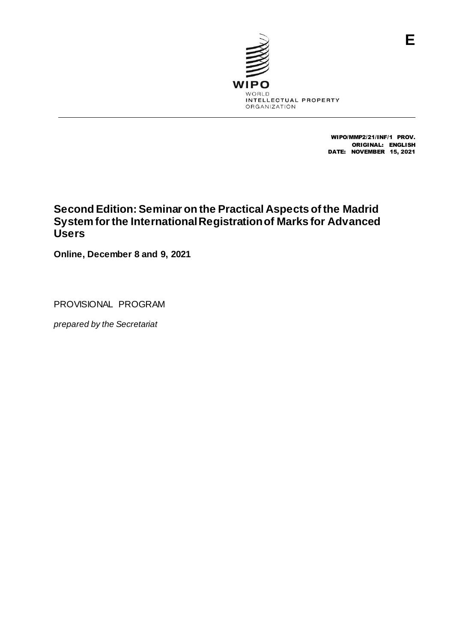

WIPO/MMP2/21/INF/1 PROV. ORIGINAL: ENGLISH DATE: NOVEMBER 15, 2021

# **Second Edition: Seminar on the Practical Aspects of the Madrid System for the International Registration of Marks for Advanced Users**

**Online, December 8 and 9, 2021**

PROVISIONAL PROGRAM

*prepared by the Secretariat*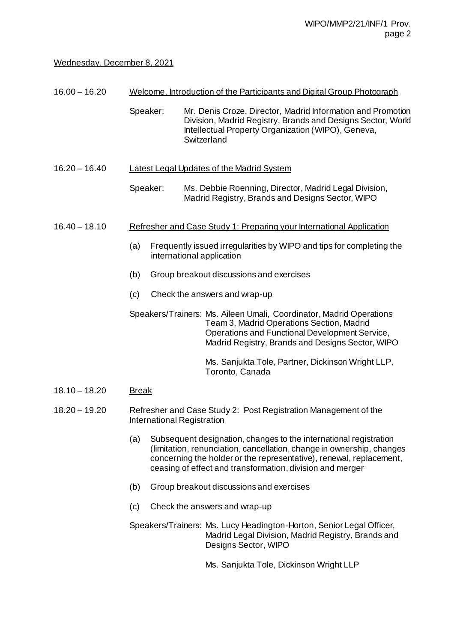# Wednesday, December 8, 2021

- 16.00 16.20 Welcome, Introduction of the Participants and Digital Group Photograph
	- Speaker: Mr. Denis Croze, Director, Madrid Information and Promotion Division, Madrid Registry, Brands and Designs Sector, World Intellectual Property Organization (WIPO), Geneva, **Switzerland**

### 16.20 – 16.40 Latest Legal Updates of the Madrid System

Speaker: Ms. Debbie Roenning, Director, Madrid Legal Division, Madrid Registry, Brands and Designs Sector, WIPO

#### 16.40 – 18.10 Refresher and Case Study 1: Preparing your International Application

- (a) Frequently issued irregularities by WIPO and tips for completing the international application
- (b) Group breakout discussions and exercises
- (c) Check the answers and wrap-up

Speakers/Trainers: Ms. Aileen Umali, Coordinator, Madrid Operations Team 3, Madrid Operations Section, Madrid Operations and Functional Development Service, Madrid Registry, Brands and Designs Sector, WIPO

> Ms. Sanjukta Tole, Partner, Dickinson Wright LLP, Toronto, Canada

### 18.10 – 18.20 Break

### 18.20 – 19.20 Refresher and Case Study 2: Post Registration Management of the International Registration

- (a) Subsequent designation, changes to the international registration (limitation, renunciation, cancellation, change in ownership, changes concerning the holder or the representative), renewal, replacement, ceasing of effect and transformation, division and merger
- (b) Group breakout discussions and exercises
- (c) Check the answers and wrap-up

Speakers/Trainers: Ms. Lucy Headington-Horton, Senior Legal Officer, Madrid Legal Division, Madrid Registry, Brands and Designs Sector, WIPO

Ms. Sanjukta Tole, Dickinson Wright LLP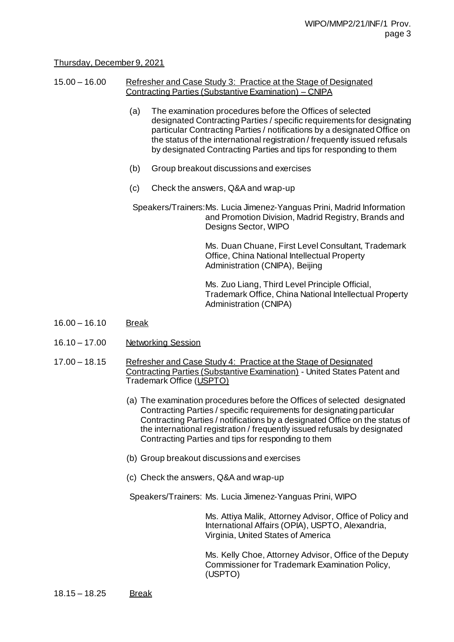# Thursday, December 9, 2021

#### 15.00 – 16.00 Refresher and Case Study 3: Practice at the Stage of Designated Contracting Parties (Substantive Examination) – CNIPA

- (a) The examination procedures before the Offices of selected designated Contracting Parties / specific requirements for designating particular Contracting Parties / notifications by a designated Office on the status of the international registration / frequently issued refusals by designated Contracting Parties and tips for responding to them
- (b) Group breakout discussions and exercises
- (c) Check the answers, Q&A and wrap-up

Speakers/Trainers:Ms. Lucia Jimenez-Yanguas Prini, Madrid Information and Promotion Division, Madrid Registry, Brands and Designs Sector, WIPO

> Ms. Duan Chuane, First Level Consultant, Trademark Office, China National Intellectual Property Administration (CNIPA), Beijing

> Ms. Zuo Liang, Third Level Principle Official, Trademark Office, China National Intellectual Property Administration (CNIPA)

- 16.00 16.10 Break
- 16.10 17.00 Networking Session
- 17.00 18.15 Refresher and Case Study 4: Practice at the Stage of Designated Contracting Parties (Substantive Examination) - United States Patent and Trademark Office (USPTO)
	- (a) The examination procedures before the Offices of selected designated Contracting Parties / specific requirements for designating particular Contracting Parties / notifications by a designated Office on the status of the international registration / frequently issued refusals by designated Contracting Parties and tips for responding to them
	- (b) Group breakout discussions and exercises
	- (c) Check the answers, Q&A and wrap-up

Speakers/Trainers: Ms. Lucia Jimenez-Yanguas Prini, WIPO

Ms. Attiya Malik, Attorney Advisor, Office of Policy and International Affairs (OPIA), USPTO, Alexandria, Virginia, United States of America

Ms. Kelly Choe, Attorney Advisor, Office of the Deputy Commissioner for Trademark Examination Policy, (USPTO)